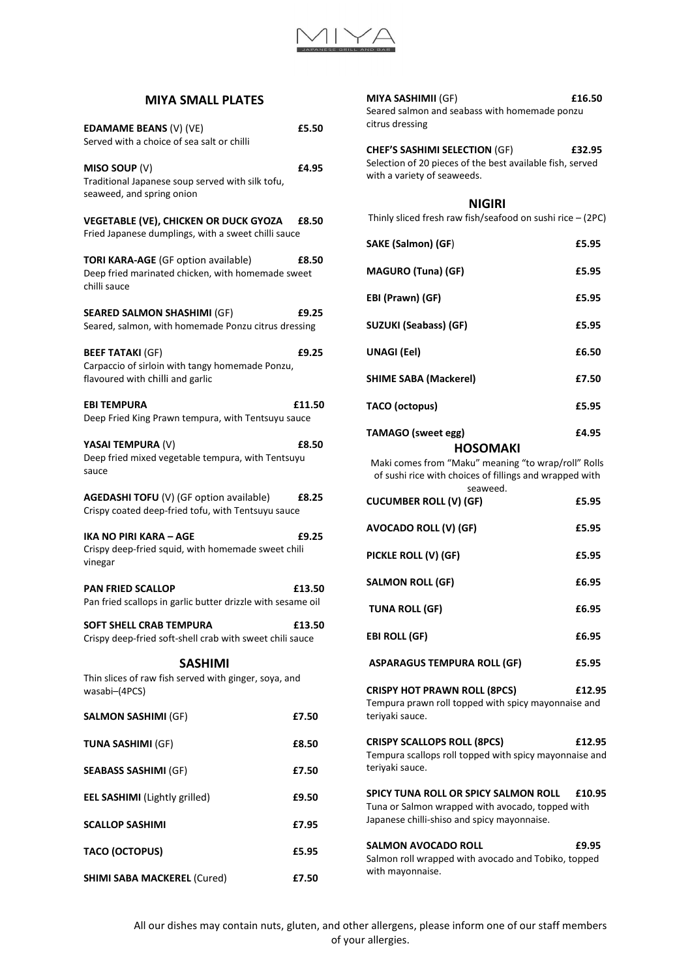

## **MIYA SMALL PLATES**

| <b>EDAMAME BEANS (V) (VE)</b><br>Served with a choice of sea salt or chilli                                     | £5.50  |
|-----------------------------------------------------------------------------------------------------------------|--------|
| MISO SOUP (V)<br>Traditional Japanese soup served with silk tofu,<br>seaweed, and spring onion                  | £4.95  |
| <b>VEGETABLE (VE), CHICKEN OR DUCK GYOZA</b><br>Fried Japanese dumplings, with a sweet chilli sauce             | £8.50  |
| <b>TORI KARA-AGE</b> (GF option available)<br>Deep fried marinated chicken, with homemade sweet<br>chilli sauce | £8.50  |
| <b>SEARED SALMON SHASHIMI (GF)</b><br>Seared, salmon, with homemade Ponzu citrus dressing                       | £9.25  |
| <b>BEEF TATAKI (GF)</b><br>Carpaccio of sirloin with tangy homemade Ponzu,<br>flavoured with chilli and garlic  | £9.25  |
| <b>EBI TEMPURA</b><br>Deep Fried King Prawn tempura, with Tentsuyu sauce                                        | £11.50 |
| YASAI TEMPURA (V)<br>Deep fried mixed vegetable tempura, with Tentsuyu<br>sauce                                 | £8.50  |
| <b>AGEDASHI TOFU</b> (V) (GF option available)<br>Crispy coated deep-fried tofu, with Tentsuyu sauce            | £8.25  |
| IKA NO PIRI KARA - AGE<br>Crispy deep-fried squid, with homemade sweet chili<br>vinegar                         | £9.25  |
| <b>PAN FRIED SCALLOP</b><br>Pan fried scallops in garlic butter drizzle with sesame oil                         | £13.50 |
| <b>SOFT SHELL CRAB TEMPURA</b><br>Crispy deep-fried soft-shell crab with sweet chili sauce                      | £13.50 |
| SASHIMI                                                                                                         |        |
| Thin slices of raw fish served with ginger, soya, and<br>wasabi-(4PCS)                                          |        |
| <b>SALMON SASHIMI (GF)</b>                                                                                      | £7.50  |
| <b>TUNA SASHIMI (GF)</b>                                                                                        | £8.50  |
| <b>SEABASS SASHIMI (GF)</b>                                                                                     | £7.50  |
| <b>EEL SASHIMI</b> (Lightly grilled)                                                                            | £9.50  |
| <b>SCALLOP SASHIMI</b>                                                                                          | £7.95  |
| <b>TACO (OCTOPUS)</b>                                                                                           | £5.95  |
| <b>SHIMI SABA MACKEREL (Cured)</b>                                                                              | £7.50  |

**MIYA SASHIMII** (GF) **£16.50** Seared salmon and seabass with homemade ponzu citrus dressing **CHEF'S SASHIMI SELECTION** (GF) **£32.95** Selection of 20 pieces of the best available fish, served with a variety of seaweeds. **NIGIRI** Thinly sliced fresh raw fish/seafood on sushi rice – (2PC) **SAKE (Salmon) (GF**) **£5.95 MAGURO (Tuna) (GF) £5.95 EBI (Prawn) (GF) £5.95 SUZUKI (Seabass) (GF) £5.95 UNAGI (Eel) £6.50 SHIME SABA (Mackerel) £7.50 TACO (octopus) £5.95 TAMAGO (sweet egg) £4.95 HOSOMAKI** Maki comes from "Maku" meaning "to wrap/roll" Rolls of sushi rice with choices of fillings and wrapped with seaweed. **CUCUMBER ROLL (V) (GF) £5.95 AVOCADO ROLL (V) (GF) £5.95 PICKLE ROLL (V) (GF) £5.95** SALMON ROLL (GF) 6.95 TUNA ROLL (GF) 6.95

**EBI ROLL (GF)** 6.95

**ASPARAGUS TEMPURA ROLL (GF) £5.95**

**CRISPY HOT PRAWN ROLL (8PCS) £12.95** Tempura prawn roll topped with spicy mayonnaise and teriyaki sauce.

**CRISPY SCALLOPS ROLL (8PCS) £12.95** Tempura scallops roll topped with spicy mayonnaise and teriyaki sauce.

**SPICY TUNA ROLL OR SPICY SALMON ROLL £10.95**  Tuna or Salmon wrapped with avocado, topped with Japanese chilli-shiso and spicy mayonnaise.

**SALMON AVOCADO ROLL £9.95** Salmon roll wrapped with avocado and Tobiko, topped with mayonnaise.